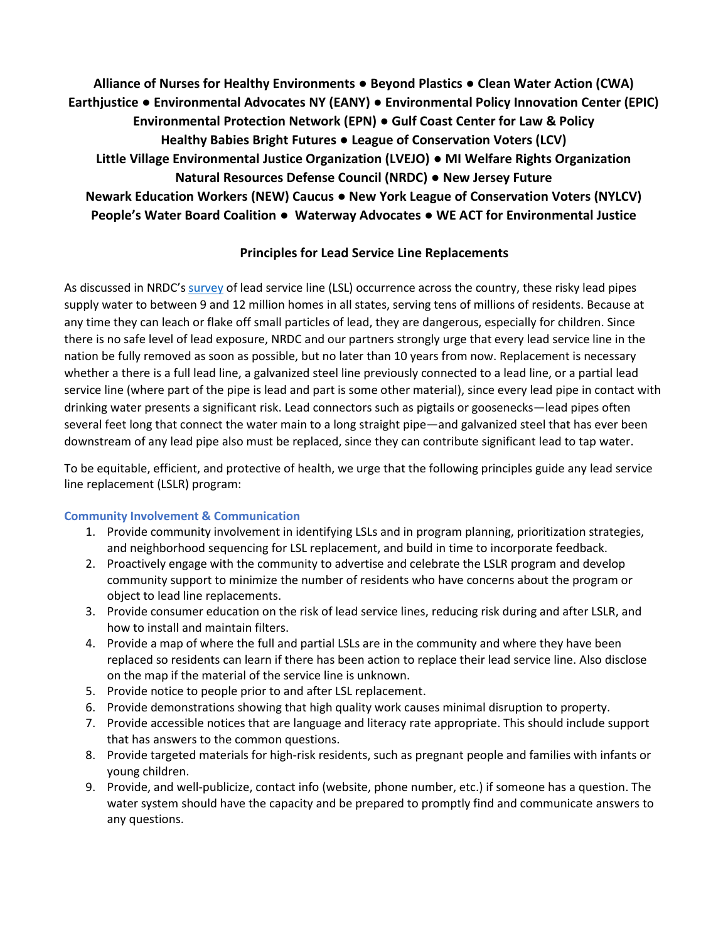**Alliance of Nurses for Healthy Environments ● Beyond Plastics ● Clean Water Action (CWA) Earthjustice ● Environmental Advocates NY (EANY) ● Environmental Policy Innovation Center (EPIC) Environmental Protection Network (EPN)** ● **Gulf Coast Center for Law & Policy Healthy Babies Bright Futures** ● **League of Conservation Voters (LCV) Little Village Environmental Justice Organization (LVEJO)** ● **MI Welfare Rights Organization Natural Resources Defense Council (NRDC)** ● **New Jersey Future Newark Education Workers (NEW) Caucus** ● **New York League of Conservation Voters (NYLCV) People's Water Board Coalition** ● **Waterway Advocates** ● **WE ACT for Environmental Justice**

# **Principles for Lead Service Line Replacements**

As discussed in NRDC's [survey](https://www.nrdc.org/lead-pipes-widespread-used-every-state) of lead service line (LSL) occurrence across the country, these risky lead pipes supply water to between 9 and 12 million homes in all states, serving tens of millions of residents. Because at any time they can leach or flake off small particles of lead, they are dangerous, especially for children. Since there is no safe level of lead exposure, NRDC and our partners strongly urge that every lead service line in the nation be fully removed as soon as possible, but no later than 10 years from now. Replacement is necessary whether a there is a full lead line, a galvanized steel line previously connected to a lead line, or a partial lead service line (where part of the pipe is lead and part is some other material), since every lead pipe in contact with drinking water presents a significant risk. Lead connectors such as pigtails or goosenecks—lead pipes often several feet long that connect the water main to a long straight pipe—and galvanized steel that has ever been downstream of any lead pipe also must be replaced, since they can contribute significant lead to tap water.

To be equitable, efficient, and protective of health, we urge that the following principles guide any lead service line replacement (LSLR) program:

# **Community Involvement & Communication**

- 1. Provide community involvement in identifying LSLs and in program planning, prioritization strategies, and neighborhood sequencing for LSL replacement, and build in time to incorporate feedback.
- 2. Proactively engage with the community to advertise and celebrate the LSLR program and develop community support to minimize the number of residents who have concerns about the program or object to lead line replacements.
- 3. Provide consumer education on the risk of lead service lines, reducing risk during and after LSLR, and how to install and maintain filters.
- 4. Provide a map of where the full and partial LSLs are in the community and where they have been replaced so residents can learn if there has been action to replace their lead service line. Also disclose on the map if the material of the service line is unknown.
- 5. Provide notice to people prior to and after LSL replacement.
- 6. Provide demonstrations showing that high quality work causes minimal disruption to property.
- 7. Provide accessible notices that are language and literacy rate appropriate. This should include support that has answers to the common questions.
- 8. Provide targeted materials for high-risk residents, such as pregnant people and families with infants or young children.
- 9. Provide, and well-publicize, contact info (website, phone number, etc.) if someone has a question. The water system should have the capacity and be prepared to promptly find and communicate answers to any questions.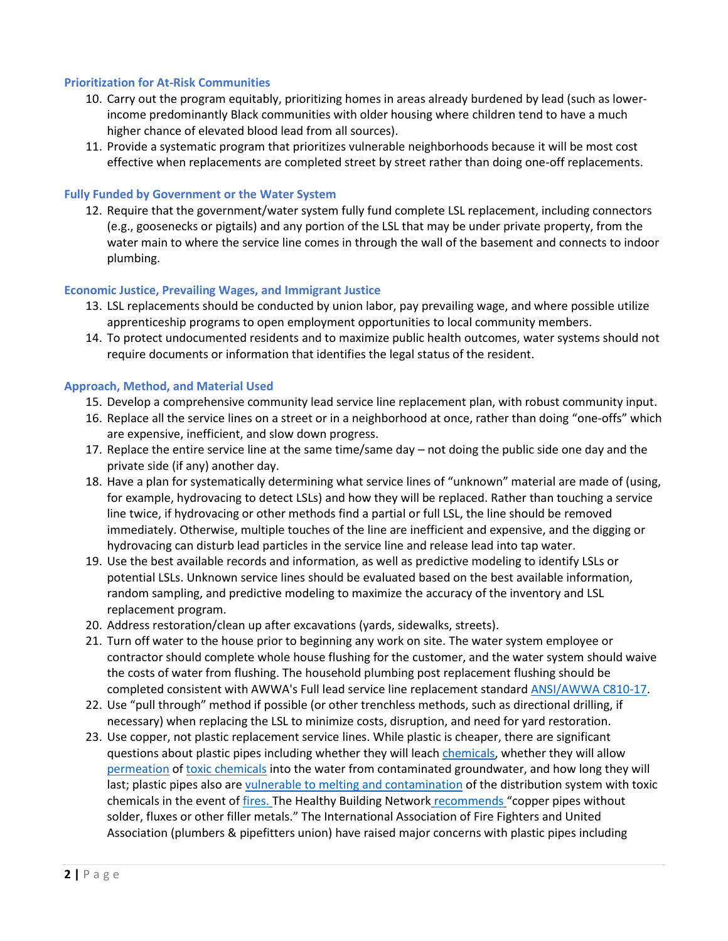## **Prioritization for At-Risk Communities**

- 10. Carry out the program equitably, prioritizing homes in areas already burdened by lead (such as lowerincome predominantly Black communities with older housing where children tend to have a much higher chance of elevated blood lead from all sources).
- 11. Provide a systematic program that prioritizes vulnerable neighborhoods because it will be most cost effective when replacements are completed street by street rather than doing one-off replacements.

#### **Fully Funded by Government or the Water System**

12. Require that the government/water system fully fund complete LSL replacement, including connectors (e.g., goosenecks or pigtails) and any portion of the LSL that may be under private property, from the water main to where the service line comes in through the wall of the basement and connects to indoor plumbing.

## **Economic Justice, Prevailing Wages, and Immigrant Justice**

- 13. LSL replacements should be conducted by union labor, pay prevailing wage, and where possible utilize apprenticeship programs to open employment opportunities to local community members.
- 14. To protect undocumented residents and to maximize public health outcomes, water systems should not require documents or information that identifies the legal status of the resident.

## **Approach, Method, and Material Used**

- 15. Develop a comprehensive community lead service line replacement plan, with robust community input.
- 16. Replace all the service lines on a street or in a neighborhood at once, rather than doing "one-offs" which are expensive, inefficient, and slow down progress.
- 17. Replace the entire service line at the same time/same day not doing the public side one day and the private side (if any) another day.
- 18. Have a plan for systematically determining what service lines of "unknown" material are made of (using, for example, hydrovacing to detect LSLs) and how they will be replaced. Rather than touching a service line twice, if hydrovacing or other methods find a partial or full LSL, the line should be removed immediately. Otherwise, multiple touches of the line are inefficient and expensive, and the digging or hydrovacing can disturb lead particles in the service line and release lead into tap water.
- 19. Use the best available records and information, as well as predictive modeling to identify LSLs or potential LSLs. Unknown service lines should be evaluated based on the best available information, random sampling, and predictive modeling to maximize the accuracy of the inventory and LSL replacement program.
- 20. Address restoration/clean up after excavations (yards, sidewalks, streets).
- 21. Turn off water to the house prior to beginning any work on site. The water system employee or contractor should complete whole house flushing for the customer, and the water system should waive the costs of water from flushing. The household plumbing post replacement flushing should be completed consistent with AWWA's Full lead service line replacement standar[d ANSI/AWWA C810-17.](https://www.awwa.org/Portals/0/files/publications/documents/standards/C810-17-LookInside.pdf)
- 22. Use "pull through" method if possible (or other trenchless methods, such as directional drilling, if necessary) when replacing the LSL to minimize costs, disruption, and need for yard restoration.
- 23. Use copper, not plastic replacement service lines. While plastic is cheaper, there are significant questions about plastic pipes including whether they will leach [chemicals,](https://urldefense.com/v3/__https:/www.purdue.edu/newsroom/releases/2014/Q4/drinking-water-odors,-chemicals-above-health-standards-caused-by-green-building-plumbing.html__;!!NO21cQ!SN4gkmdKJXOHeyNd--zS_agGDM9SkWp9EKu33BRT0RKbrQ7FbhPpOVjYYwmK$) whether they will allow [permeation](https://urldefense.com/v3/__https:/www.epa.gov/sites/default/files/2015-09/documents/permeationandleaching.pdf__;!!NO21cQ!SN4gkmdKJXOHeyNd--zS_agGDM9SkWp9EKu33BRT0RKbrQ7FbhPpOf0xlTNl$) o[f toxic chemicals](https://www.waterrf.org/research/projects/impact-hydrocarbons-pepvc-pipes-and-pipe-gaskets) into the water from contaminated groundwater, and how long they will last; plastic pipes also are [vulnerable to melting and contamination](https://www.epa.gov/system/files/documents/2021-09/addressing-contamination-of-drinking-water-distribution-systems-from-volatile-organic-compounds-after-wildfires_508.pdf) of the distribution system with toxic chemicals in the event of [fires.](https://urldefense.com/v3/__https:/theconversation.com/wildfires-are-contaminating-drinking-water-systems-and-its-more-widespread-than-people-realize-159527__;!!NO21cQ!SN4gkmdKJXOHeyNd--zS_agGDM9SkWp9EKu33BRT0RKbrQ7FbhPpOSM5AguT$) The Healthy Building Network [recommends](https://urldefense.com/v3/__https:/homefree.healthybuilding.net/products/71-water-pipes-hazard-spectrum__;!!NO21cQ!SN4gkmdKJXOHeyNd--zS_agGDM9SkWp9EKu33BRT0RKbrQ7FbhPpOWEDEsGT$) "copper pipes without solder, fluxes or other filler metals." The International Association of Fire Fighters and United Association (plumbers & pipefitters union) have raised major concerns with plastic pipes including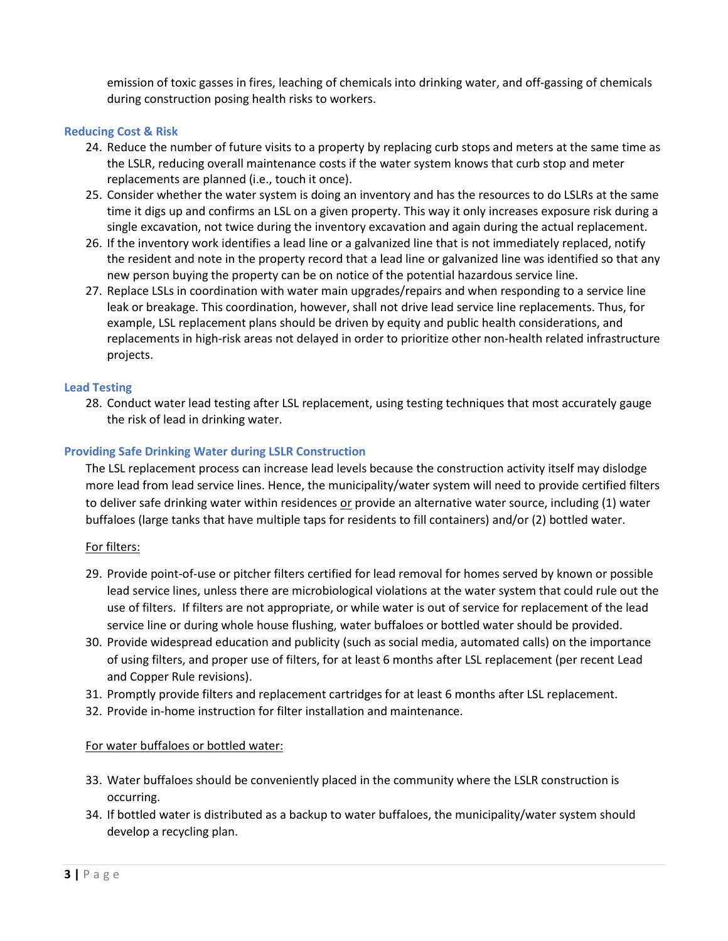emission of toxic gasses in fires, leaching of chemicals into drinking water, and off-gassing of chemicals during construction posing health risks to workers.

## **Reducing Cost & Risk**

- 24. Reduce the number of future visits to a property by replacing curb stops and meters at the same time as the LSLR, reducing overall maintenance costs if the water system knows that curb stop and meter replacements are planned (i.e., touch it once).
- 25. Consider whether the water system is doing an inventory and has the resources to do LSLRs at the same time it digs up and confirms an LSL on a given property. This way it only increases exposure risk during a single excavation, not twice during the inventory excavation and again during the actual replacement.
- 26. If the inventory work identifies a lead line or a galvanized line that is not immediately replaced, notify the resident and note in the property record that a lead line or galvanized line was identified so that any new person buying the property can be on notice of the potential hazardous service line.
- 27. Replace LSLs in coordination with water main upgrades/repairs and when responding to a service line leak or breakage. This coordination, however, shall not drive lead service line replacements. Thus, for example, LSL replacement plans should be driven by equity and public health considerations, and replacements in high-risk areas not delayed in order to prioritize other non-health related infrastructure projects.

## **Lead Testing**

28. Conduct water lead testing after LSL replacement, using testing techniques that most accurately gauge the risk of lead in drinking water.

## **Providing Safe Drinking Water during LSLR Construction**

The LSL replacement process can increase lead levels because the construction activity itself may dislodge more lead from lead service lines. Hence, the municipality/water system will need to provide certified filters to deliver safe drinking water within residences or provide an alternative water source, including (1) water buffaloes (large tanks that have multiple taps for residents to fill containers) and/or (2) bottled water.

## For filters:

- 29. Provide point-of-use or pitcher filters certified for lead removal for homes served by known or possible lead service lines, unless there are microbiological violations at the water system that could rule out the use of filters. If filters are not appropriate, or while water is out of service for replacement of the lead service line or during whole house flushing, water buffaloes or bottled water should be provided.
- 30. Provide widespread education and publicity (such as social media, automated calls) on the importance of using filters, and proper use of filters, for at least 6 months after LSL replacement (per recent Lead and Copper Rule revisions).
- 31. Promptly provide filters and replacement cartridges for at least 6 months after LSL replacement.
- 32. Provide in-home instruction for filter installation and maintenance.

## For water buffaloes or bottled water:

- 33. Water buffaloes should be conveniently placed in the community where the LSLR construction is occurring.
- 34. If bottled water is distributed as a backup to water buffaloes, the municipality/water system should develop a recycling plan.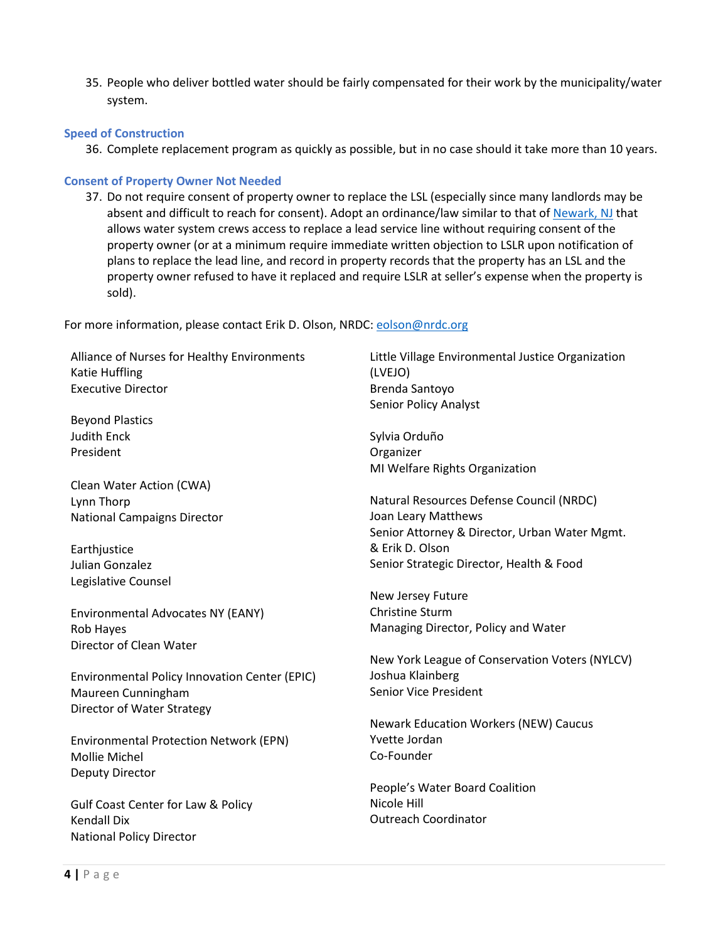35. People who deliver bottled water should be fairly compensated for their work by the municipality/water system.

## **Speed of Construction**

36. Complete replacement program as quickly as possible, but in no case should it take more than 10 years.

#### **Consent of Property Owner Not Needed**

37. Do not require consent of property owner to replace the LSL (especially since many landlords may be absent and difficult to reach for consent). Adopt an ordinance/law similar to that of [Newark, NJ](https://ecode360.com/36709572?noresponsive=false) that allows water system crews access to replace a lead service line without requiring consent of the property owner (or at a minimum require immediate written objection to LSLR upon notification of plans to replace the lead line, and record in property records that the property has an LSL and the property owner refused to have it replaced and require LSLR at seller's expense when the property is sold).

For more information, please contact Erik D. Olson, NRDC[: eolson@nrdc.org](mailto:eolson@nrdc.org)

Alliance of Nurses for Healthy Environments Katie Huffling Executive Director

Beyond Plastics Judith Enck President

Clean Water Action (CWA) Lynn Thorp National Campaigns Director

**Earthjustice** Julian Gonzalez Legislative Counsel

Environmental Advocates NY (EANY) Rob Hayes Director of Clean Water

Environmental Policy Innovation Center (EPIC) Maureen Cunningham Director of Water Strategy

Environmental Protection Network (EPN) Mollie Michel Deputy Director

Gulf Coast Center for Law & Policy Kendall Dix National Policy Director

Little Village Environmental Justice Organization (LVEJO) Brenda Santoyo Senior Policy Analyst

Sylvia Orduño Organizer MI Welfare Rights Organization

Natural Resources Defense Council (NRDC) Joan Leary Matthews Senior Attorney & Director, Urban Water Mgmt. & Erik D. Olson Senior Strategic Director, Health & Food

New Jersey Future Christine Sturm Managing Director, Policy and Water

New York League of Conservation Voters (NYLCV) Joshua Klainberg Senior Vice President

Newark Education Workers (NEW) Caucus Yvette Jordan Co-Founder

People's Water Board Coalition Nicole Hill Outreach Coordinator